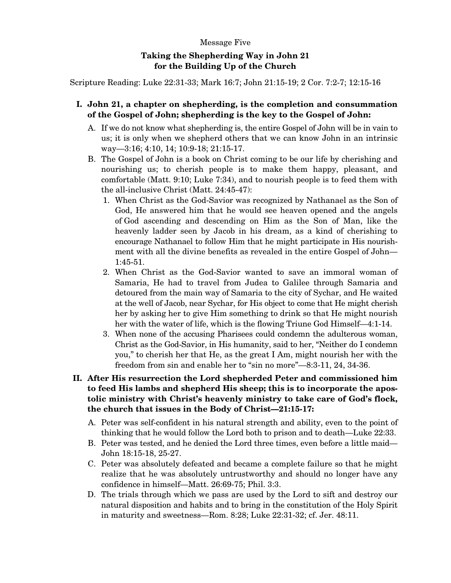## Message Five

## **Taking the Shepherding Way in John 21 for the Building Up of the Church**

Scripture Reading: Luke 22:31-33; Mark 16:7; John 21:15-19; 2 Cor. 7:2-7; 12:15-16

- **I. John 21, a chapter on shepherding, is the completion and consummation of the Gospel of John; shepherding is the key to the Gospel of John:** 
	- A. If we do not know what shepherding is, the entire Gospel of John will be in vain to us; it is only when we shepherd others that we can know John in an intrinsic way—3:16; 4:10, 14; 10:9-18; 21:15-17.
	- B. The Gospel of John is a book on Christ coming to be our life by cherishing and nourishing us; to cherish people is to make them happy, pleasant, and comfortable (Matt. 9:10; Luke 7:34), and to nourish people is to feed them with the all-inclusive Christ (Matt. 24:45-47):
		- 1. When Christ as the God-Savior was recognized by Nathanael as the Son of God, He answered him that he would see heaven opened and the angels of God ascending and descending on Him as the Son of Man, like the heavenly ladder seen by Jacob in his dream, as a kind of cherishing to encourage Nathanael to follow Him that he might participate in His nourishment with all the divine benefits as revealed in the entire Gospel of John— 1:45-51.
		- 2. When Christ as the God-Savior wanted to save an immoral woman of Samaria, He had to travel from Judea to Galilee through Samaria and detoured from the main way of Samaria to the city of Sychar, and He waited at the well of Jacob, near Sychar, for His object to come that He might cherish her by asking her to give Him something to drink so that He might nourish her with the water of life, which is the flowing Triune God Himself—4:1-14.
		- 3. When none of the accusing Pharisees could condemn the adulterous woman, Christ as the God-Savior, in His humanity, said to her, "Neither do I condemn you," to cherish her that He, as the great I Am, might nourish her with the freedom from sin and enable her to "sin no more"—8:3-11, 24, 34-36.

## **II. After His resurrection the Lord shepherded Peter and commissioned him to feed His lambs and shepherd His sheep; this is to incorporate the apostolic ministry with Christ's heavenly ministry to take care of God's flock, the church that issues in the Body of Christ—21:15-17:**

- A. Peter was self-confident in his natural strength and ability, even to the point of thinking that he would follow the Lord both to prison and to death—Luke 22:33.
- B. Peter was tested, and he denied the Lord three times, even before a little maid— John 18:15-18, 25-27.
- C. Peter was absolutely defeated and became a complete failure so that he might realize that he was absolutely untrustworthy and should no longer have any confidence in himself—Matt. 26:69-75; Phil. 3:3.
- D. The trials through which we pass are used by the Lord to sift and destroy our natural disposition and habits and to bring in the constitution of the Holy Spirit in maturity and sweetness—Rom. 8:28; Luke 22:31-32; cf. Jer. 48:11.